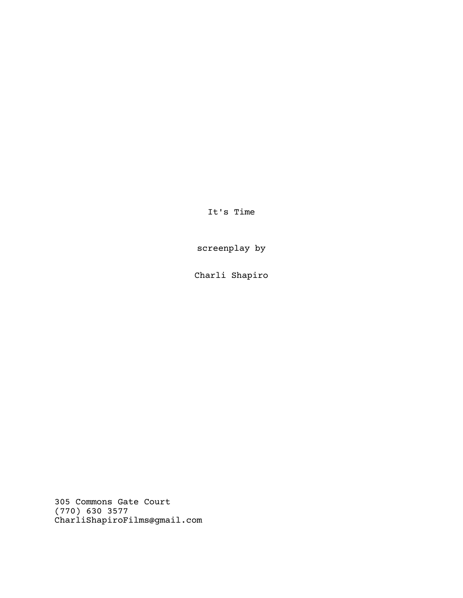It's Time

screenplay by

Charli Shapiro

305 Commons Gate Court (770) 630 3577 CharliShapiroFilms@gmail.com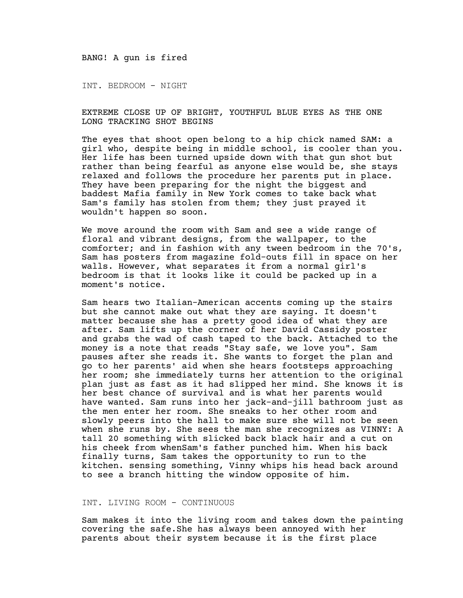BANG! A gun is fired

INT. BEDROOM - NIGHT

EXTREME CLOSE UP OF BRIGHT, YOUTHFUL BLUE EYES AS THE ONE LONG TRACKING SHOT BEGINS

The eyes that shoot open belong to a hip chick named SAM: a girl who, despite being in middle school, is cooler than you. Her life has been turned upside down with that gun shot but rather than being fearful as anyone else would be, she stays relaxed and follows the procedure her parents put in place. They have been preparing for the night the biggest and baddest Mafia family in New York comes to take back what Sam's family has stolen from them; they just prayed it wouldn't happen so soon.

We move around the room with Sam and see a wide range of floral and vibrant designs, from the wallpaper, to the comforter; and in fashion with any tween bedroom in the 70's, Sam has posters from magazine fold-outs fill in space on her walls. However, what separates it from a normal girl's bedroom is that it looks like it could be packed up in a moment's notice.

Sam hears two Italian-American accents coming up the stairs but she cannot make out what they are saying. It doesn't matter because she has a pretty good idea of what they are after. Sam lifts up the corner of her David Cassidy poster and grabs the wad of cash taped to the back. Attached to the money is a note that reads "Stay safe, we love you". Sam pauses after she reads it. She wants to forget the plan and go to her parents' aid when she hears footsteps approaching her room; she immediately turns her attention to the original plan just as fast as it had slipped her mind. She knows it is her best chance of survival and is what her parents would have wanted. Sam runs into her jack-and-jill bathroom just as the men enter her room. She sneaks to her other room and slowly peers into the hall to make sure she will not be seen when she runs by. She sees the man she recognizes as VINNY: A tall 20 something with slicked back black hair and a cut on his cheek from whenSam's father punched him. When his back finally turns, Sam takes the opportunity to run to the kitchen. sensing something, Vinny whips his head back around to see a branch hitting the window opposite of him.

## INT. LIVING ROOM - CONTINUOUS

Sam makes it into the living room and takes down the painting covering the safe.She has always been annoyed with her parents about their system because it is the first place